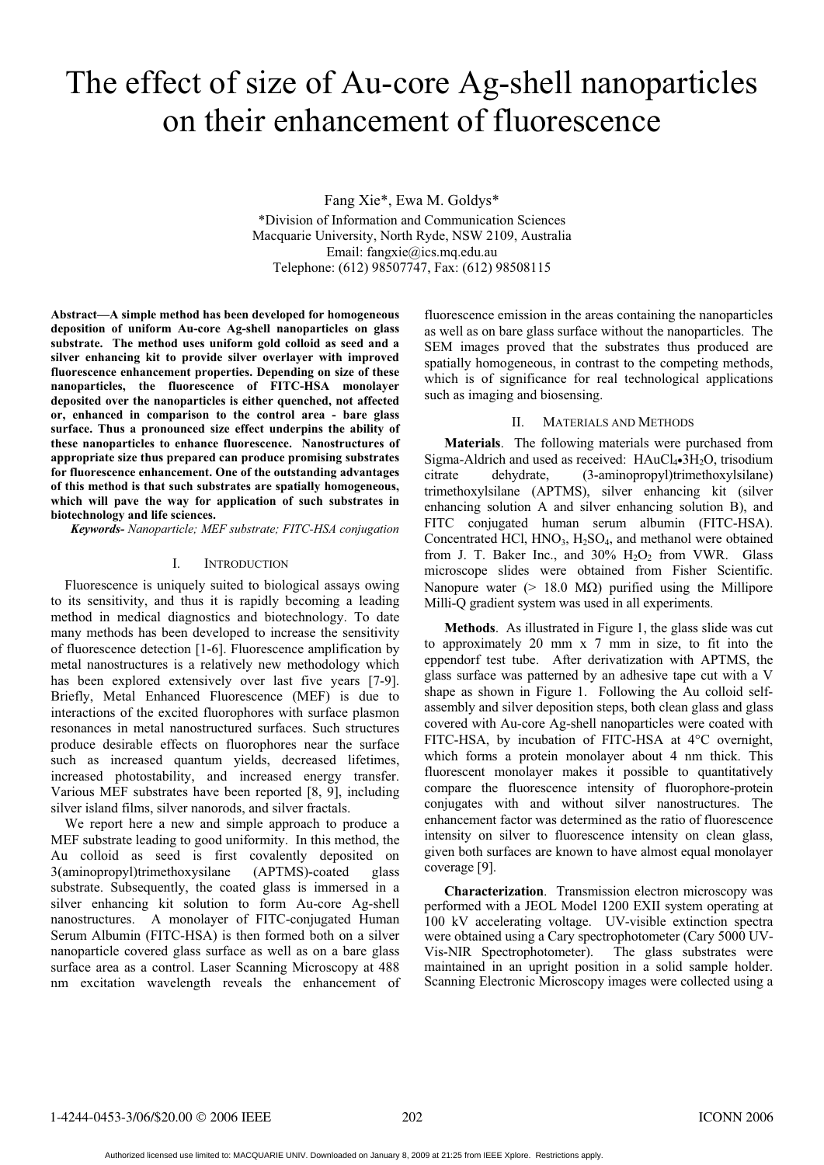# The effect of size of Au-core Ag-shell nanoparticles on their enhancement of fluorescence

Fang Xie\*, Ewa M. Goldys\* \*Division of Information and Communication Sciences Macquarie University, North Ryde, NSW 2109, Australia Email: fangxie@ics.mq.edu.au Telephone: (612) 98507747, Fax: (612) 98508115

**Abstract—A simple method has been developed for homogeneous deposition of uniform Au-core Ag-shell nanoparticles on glass substrate. The method uses uniform gold colloid as seed and a silver enhancing kit to provide silver overlayer with improved fluorescence enhancement properties. Depending on size of these nanoparticles, the fluorescence of FITC-HSA monolayer deposited over the nanoparticles is either quenched, not affected or, enhanced in comparison to the control area - bare glass surface. Thus a pronounced size effect underpins the ability of these nanoparticles to enhance fluorescence. Nanostructures of appropriate size thus prepared can produce promising substrates for fluorescence enhancement. One of the outstanding advantages of this method is that such substrates are spatially homogeneous, which will pave the way for application of such substrates in biotechnology and life sciences.** 

*Keywords- Nanoparticle; MEF substrate; FITC-HSA conjugation*

## I. INTRODUCTION

Fluorescence is uniquely suited to biological assays owing to its sensitivity, and thus it is rapidly becoming a leading method in medical diagnostics and biotechnology. To date many methods has been developed to increase the sensitivity of fluorescence detection [1-6]. Fluorescence amplification by metal nanostructures is a relatively new methodology which has been explored extensively over last five years [7-9]. Briefly, Metal Enhanced Fluorescence (MEF) is due to interactions of the excited fluorophores with surface plasmon resonances in metal nanostructured surfaces. Such structures produce desirable effects on fluorophores near the surface such as increased quantum yields, decreased lifetimes, increased photostability, and increased energy transfer. Various MEF substrates have been reported [8, 9], including silver island films, silver nanorods, and silver fractals.

We report here a new and simple approach to produce a MEF substrate leading to good uniformity. In this method, the Au colloid as seed is first covalently deposited on 3(aminopropyl)trimethoxysilane (APTMS)-coated glass substrate. Subsequently, the coated glass is immersed in a silver enhancing kit solution to form Au-core Ag-shell nanostructures. A monolayer of FITC-conjugated Human Serum Albumin (FITC-HSA) is then formed both on a silver nanoparticle covered glass surface as well as on a bare glass surface area as a control. Laser Scanning Microscopy at 488 nm excitation wavelength reveals the enhancement of

fluorescence emission in the areas containing the nanoparticles as well as on bare glass surface without the nanoparticles. The SEM images proved that the substrates thus produced are spatially homogeneous, in contrast to the competing methods, which is of significance for real technological applications such as imaging and biosensing.

## II. MATERIALS AND METHODS

**Materials**. The following materials were purchased from Sigma-Aldrich and used as received:  $HAuCl<sub>4</sub>•3H<sub>2</sub>O$ , trisodium citrate dehydrate, (3-aminopropyl)trimethoxylsilane) citrate dehydrate, (3-aminopropyl)trimethoxylsilane) trimethoxylsilane (APTMS), silver enhancing kit (silver enhancing solution A and silver enhancing solution B), and FITC conjugated human serum albumin (FITC-HSA). Concentrated HCl,  $HNO<sub>3</sub>$ ,  $H<sub>2</sub>SO<sub>4</sub>$ , and methanol were obtained from J. T. Baker Inc., and  $30\%$  H<sub>2</sub>O<sub>2</sub> from VWR. Glass microscope slides were obtained from Fisher Scientific. Nanopure water ( $> 18.0$  M $\Omega$ ) purified using the Millipore Milli-Q gradient system was used in all experiments.

**Methods**. As illustrated in Figure 1, the glass slide was cut to approximately 20 mm x 7 mm in size, to fit into the eppendorf test tube. After derivatization with APTMS, the glass surface was patterned by an adhesive tape cut with a V shape as shown in Figure 1. Following the Au colloid selfassembly and silver deposition steps, both clean glass and glass covered with Au-core Ag-shell nanoparticles were coated with FITC-HSA, by incubation of FITC-HSA at 4°C overnight, which forms a protein monolayer about 4 nm thick. This fluorescent monolayer makes it possible to quantitatively compare the fluorescence intensity of fluorophore-protein conjugates with and without silver nanostructures. The enhancement factor was determined as the ratio of fluorescence intensity on silver to fluorescence intensity on clean glass, given both surfaces are known to have almost equal monolayer coverage [9].

**Characterization**. Transmission electron microscopy was performed with a JEOL Model 1200 EXII system operating at 100 kV accelerating voltage. UV-visible extinction spectra were obtained using a Cary spectrophotometer (Cary 5000 UV-<br>Vis-NIR Spectrophotometer). The glass substrates were Vis-NIR Spectrophotometer). maintained in an upright position in a solid sample holder. Scanning Electronic Microscopy images were collected using a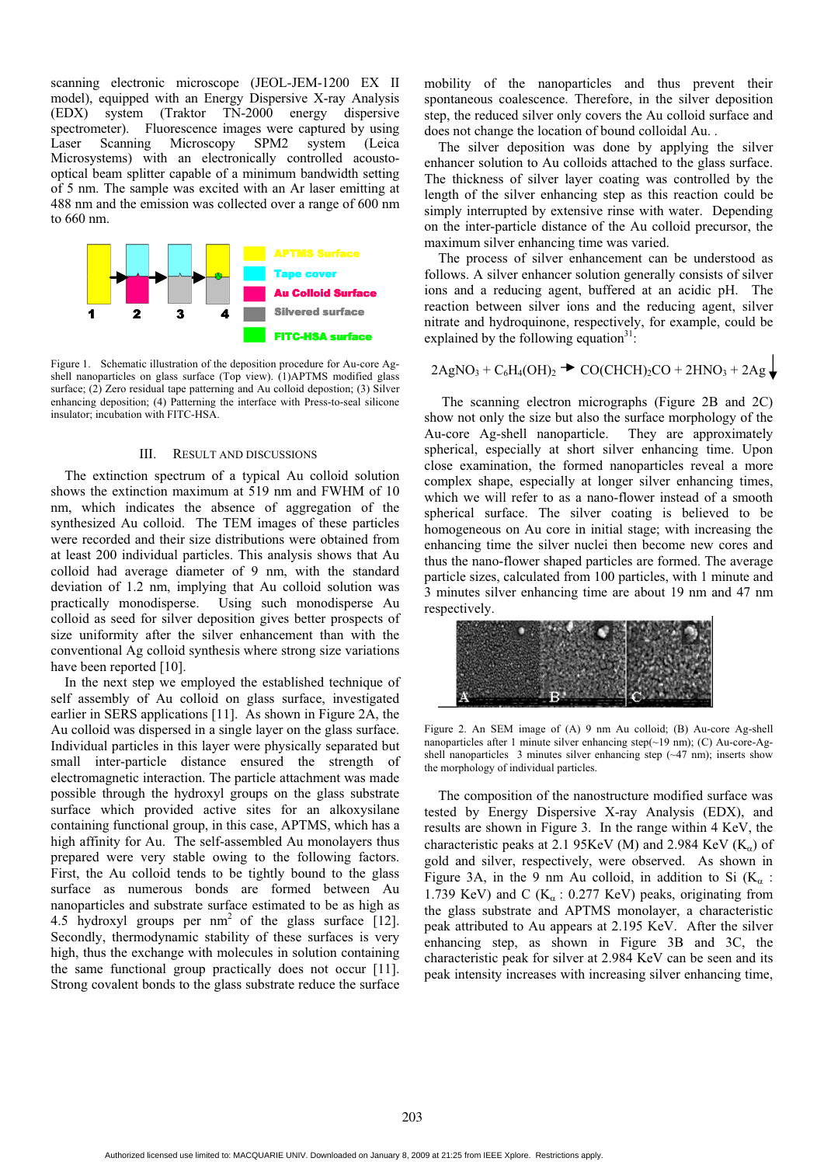scanning electronic microscope (JEOL-JEM-1200 EX II model), equipped with an Energy Dispersive X-ray Analysis (EDX) system (Traktor TN-2000 energy dispersive spectrometer). Fluorescence images were captured by using Laser Scanning Microscopy SPM2 system (Leica Microsystems) with an electronically controlled acoustooptical beam splitter capable of a minimum bandwidth setting of 5 nm. The sample was excited with an Ar laser emitting at 488 nm and the emission was collected over a range of 600 nm to 660 nm.



Figure 1. Schematic illustration of the deposition procedure for Au-core Agshell nanoparticles on glass surface (Top view). (1)APTMS modified glass surface; (2) Zero residual tape patterning and Au colloid depostion; (3) Silver enhancing deposition; (4) Patterning the interface with Press-to-seal silicone insulator; incubation with FITC-HSA.

#### III. RESULT AND DISCUSSIONS

The extinction spectrum of a typical Au colloid solution shows the extinction maximum at 519 nm and FWHM of 10 nm, which indicates the absence of aggregation of the synthesized Au colloid. The TEM images of these particles were recorded and their size distributions were obtained from at least 200 individual particles. This analysis shows that Au colloid had average diameter of 9 nm, with the standard deviation of 1.2 nm, implying that Au colloid solution was practically monodisperse. Using such monodisperse Au colloid as seed for silver deposition gives better prospects of size uniformity after the silver enhancement than with the conventional Ag colloid synthesis where strong size variations have been reported [10].

In the next step we employed the established technique of self assembly of Au colloid on glass surface, investigated earlier in SERS applications [11]. As shown in Figure 2A, the Au colloid was dispersed in a single layer on the glass surface. Individual particles in this layer were physically separated but small inter-particle distance ensured the strength of electromagnetic interaction. The particle attachment was made possible through the hydroxyl groups on the glass substrate surface which provided active sites for an alkoxysilane containing functional group, in this case, APTMS, which has a high affinity for Au. The self-assembled Au monolayers thus prepared were very stable owing to the following factors. First, the Au colloid tends to be tightly bound to the glass surface as numerous bonds are formed between Au nanoparticles and substrate surface estimated to be as high as 4.5 hydroxyl groups per  $nm^2$  of the glass surface [12]. Secondly, thermodynamic stability of these surfaces is very high, thus the exchange with molecules in solution containing the same functional group practically does not occur [11]. Strong covalent bonds to the glass substrate reduce the surface

mobility of the nanoparticles and thus prevent their spontaneous coalescence. Therefore, in the silver deposition step, the reduced silver only covers the Au colloid surface and does not change the location of bound colloidal Au. .

The silver deposition was done by applying the silver enhancer solution to Au colloids attached to the glass surface. The thickness of silver layer coating was controlled by the length of the silver enhancing step as this reaction could be simply interrupted by extensive rinse with water. Depending on the inter-particle distance of the Au colloid precursor, the maximum silver enhancing time was varied.

The process of silver enhancement can be understood as follows. A silver enhancer solution generally consists of silver ions and a reducing agent, buffered at an acidic pH. The reaction between silver ions and the reducing agent, silver nitrate and hydroquinone, respectively, for example, could be explained by the following equation $31$ :

$$
2\text{AgNO}_3 + \text{C}_6\text{H}_4\text{(OH)}_2 \rightarrow \text{CO}(\text{CHCH})_2\text{CO} + 2\text{HNO}_3 + 2\text{Ag} \downarrow
$$

 $\mathbf{I}$ 

The scanning electron micrographs (Figure 2B and 2C) show not only the size but also the surface morphology of the Au-core Ag-shell nanoparticle. They are approximately spherical, especially at short silver enhancing time. Upon close examination, the formed nanoparticles reveal a more complex shape, especially at longer silver enhancing times, which we will refer to as a nano-flower instead of a smooth spherical surface. The silver coating is believed to be homogeneous on Au core in initial stage; with increasing the enhancing time the silver nuclei then become new cores and thus the nano-flower shaped particles are formed. The average particle sizes, calculated from 100 particles, with 1 minute and 3 minutes silver enhancing time are about 19 nm and 47 nm respectively.

Figure 2. An SEM image of (A) 9 nm Au colloid; (B) Au-core Ag-shell nanoparticles after 1 minute silver enhancing step(~19 nm); (C) Au-core-Agshell nanoparticles 3 minutes silver enhancing step (~47 nm); inserts show the morphology of individual particles.

The composition of the nanostructure modified surface was tested by Energy Dispersive X-ray Analysis (EDX), and results are shown in Figure 3. In the range within 4 KeV, the characteristic peaks at 2.1 95KeV (M) and 2.984 KeV ( $K_{\alpha}$ ) of gold and silver, respectively, were observed. As shown in Figure 3A, in the 9 nm Au colloid, in addition to Si  $(K_{\alpha}$ : 1.739 KeV) and C ( $K_\alpha$ : 0.277 KeV) peaks, originating from the glass substrate and APTMS monolayer, a characteristic peak attributed to Au appears at 2.195 KeV. After the silver enhancing step, as shown in Figure 3B and 3C, the characteristic peak for silver at 2.984 KeV can be seen and its peak intensity increases with increasing silver enhancing time,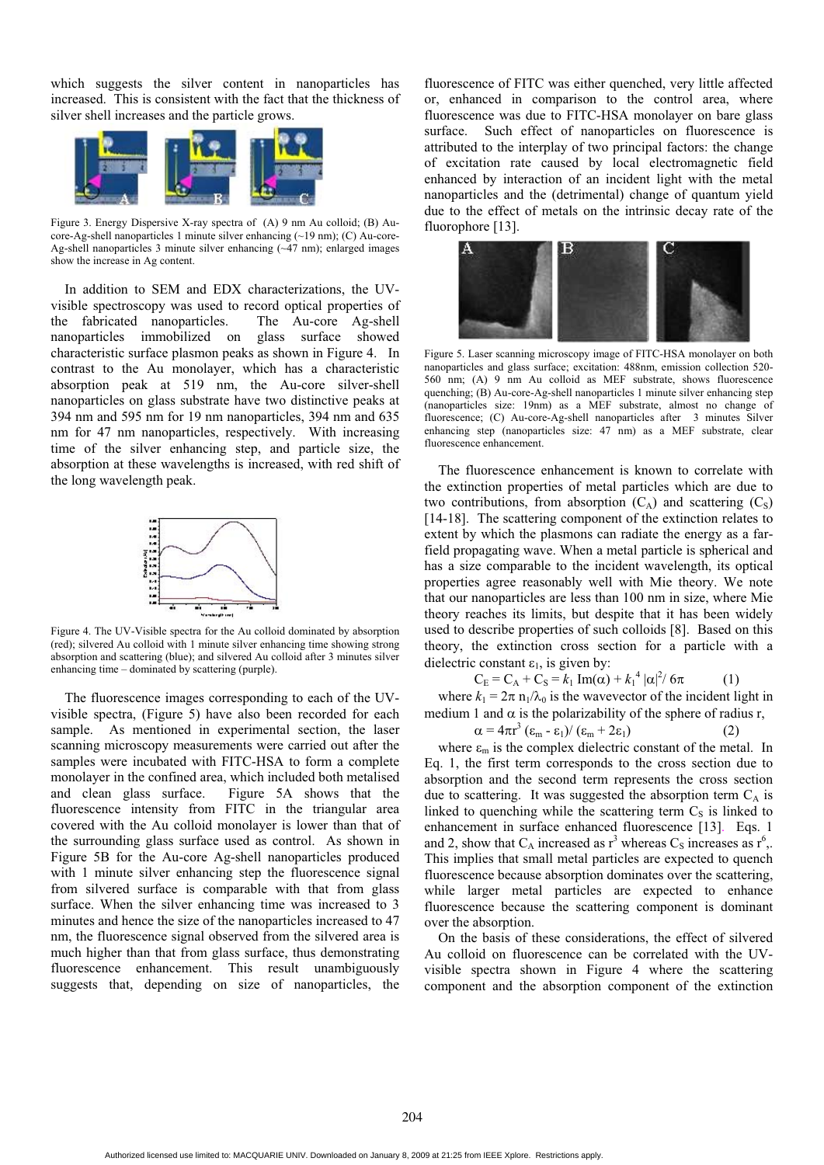which suggests the silver content in nanoparticles has increased. This is consistent with the fact that the thickness of silver shell increases and the particle grows.



Figure 3. Energy Dispersive X-ray spectra of (A) 9 nm Au colloid; (B) Aucore-Ag-shell nanoparticles 1 minute silver enhancing (~19 nm); (C) Au-core-Ag-shell nanoparticles 3 minute silver enhancing (~47 nm); enlarged images show the increase in Ag content.

In addition to SEM and EDX characterizations, the UVvisible spectroscopy was used to record optical properties of the fabricated nanoparticles. The Au-core Ag-shell nanoparticles immobilized on glass surface showed characteristic surface plasmon peaks as shown in Figure 4. In contrast to the Au monolayer, which has a characteristic absorption peak at 519 nm, the Au-core silver-shell nanoparticles on glass substrate have two distinctive peaks at 394 nm and 595 nm for 19 nm nanoparticles, 394 nm and 635 nm for 47 nm nanoparticles, respectively. With increasing time of the silver enhancing step, and particle size, the absorption at these wavelengths is increased, with red shift of the long wavelength peak.



Figure 4. The UV-Visible spectra for the Au colloid dominated by absorption (red); silvered Au colloid with 1 minute silver enhancing time showing strong absorption and scattering (blue); and silvered Au colloid after 3 minutes silver enhancing time – dominated by scattering (purple).

The fluorescence images corresponding to each of the UVvisible spectra, (Figure 5) have also been recorded for each sample. As mentioned in experimental section, the laser scanning microscopy measurements were carried out after the samples were incubated with FITC-HSA to form a complete monolayer in the confined area, which included both metalised and clean glass surface. Figure 5A shows that the fluorescence intensity from FITC in the triangular area covered with the Au colloid monolayer is lower than that of the surrounding glass surface used as control. As shown in Figure 5B for the Au-core Ag-shell nanoparticles produced with 1 minute silver enhancing step the fluorescence signal from silvered surface is comparable with that from glass surface. When the silver enhancing time was increased to 3 minutes and hence the size of the nanoparticles increased to 47 nm, the fluorescence signal observed from the silvered area is much higher than that from glass surface, thus demonstrating fluorescence enhancement. This result unambiguously suggests that, depending on size of nanoparticles, the

fluorescence of FITC was either quenched, very little affected or, enhanced in comparison to the control area, where fluorescence was due to FITC-HSA monolayer on bare glass surface. Such effect of nanoparticles on fluorescence is attributed to the interplay of two principal factors: the change of excitation rate caused by local electromagnetic field enhanced by interaction of an incident light with the metal nanoparticles and the (detrimental) change of quantum yield due to the effect of metals on the intrinsic decay rate of the fluorophore [13].



Figure 5. Laser scanning microscopy image of FITC-HSA monolayer on both nanoparticles and glass surface; excitation: 488nm, emission collection 520- 560 nm; (A) 9 nm Au colloid as MEF substrate, shows fluorescence quenching; (B) Au-core-Ag-shell nanoparticles 1 minute silver enhancing step (nanoparticles size: 19nm) as a MEF substrate, almost no change of fluorescence; (C) Au-core-Ag-shell nanoparticles after 3 minutes Silver enhancing step (nanoparticles size: 47 nm) as a MEF substrate, clear fluorescence enhancement.

The fluorescence enhancement is known to correlate with the extinction properties of metal particles which are due to two contributions, from absorption  $(C_A)$  and scattering  $(C_S)$ [14-18]. The scattering component of the extinction relates to extent by which the plasmons can radiate the energy as a farfield propagating wave. When a metal particle is spherical and has a size comparable to the incident wavelength, its optical properties agree reasonably well with Mie theory. We note that our nanoparticles are less than 100 nm in size, where Mie theory reaches its limits, but despite that it has been widely used to describe properties of such colloids [8]. Based on this theory, the extinction cross section for a particle with a dielectric constant  $\varepsilon_1$ , is given by:

$$
C_E = C_A + C_S = k_1 Im(\alpha) + k_1^4 |\alpha|^2 / 6\pi
$$
 (1)  
For  $k_1 = 2\pi n_1/3$ , is the wavevector of the incident light

where  $k_1 = 2\pi n_1/\lambda_0$  is the wavevector of the incident light in<br>edium 1 and  $\alpha$  is the polarizability of the sphere of radius r medium 1 and  $\alpha$  is the polarizability of the sphere of radius r,

$$
\alpha = 4\pi r^3 \left(\varepsilon_m - \varepsilon_1\right) / \left(\varepsilon_m + 2\varepsilon_1\right) \tag{2}
$$

where  $\varepsilon_m$  is the complex dielectric constant of the metal. In Eq. 1, the first term corresponds to the cross section due to absorption and the second term represents the cross section due to scattering. It was suggested the absorption term  $C_A$  is linked to quenching while the scattering term  $C<sub>S</sub>$  is linked to enhancement in surface enhanced fluorescence [13]. Eqs. 1 and 2, show that  $C_A$  increased as  $r^3$  whereas  $C_S$  increases as  $r^6$ , This implies that small metal particles are expected to quench fluorescence because absorption dominates over the scattering, while larger metal particles are expected to enhance fluorescence because the scattering component is dominant over the absorption.

On the basis of these considerations, the effect of silvered Au colloid on fluorescence can be correlated with the UVvisible spectra shown in Figure 4 where the scattering component and the absorption component of the extinction